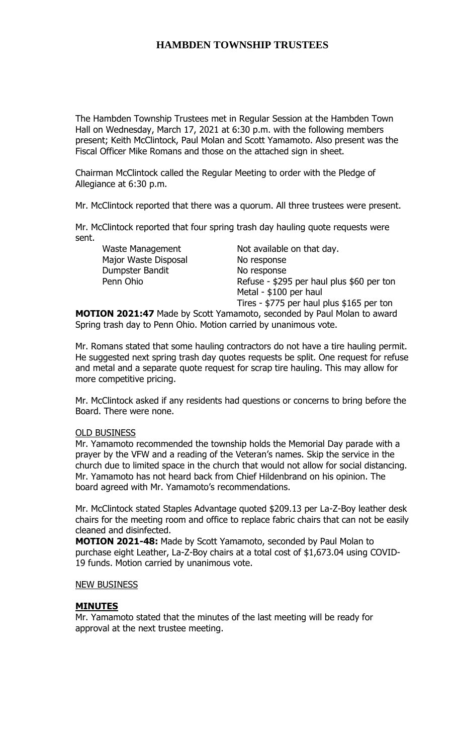The Hambden Township Trustees met in Regular Session at the Hambden Town Hall on Wednesday, March 17, 2021 at 6:30 p.m. with the following members present; Keith McClintock, Paul Molan and Scott Yamamoto. Also present was the Fiscal Officer Mike Romans and those on the attached sign in sheet.

Chairman McClintock called the Regular Meeting to order with the Pledge of Allegiance at 6:30 p.m.

Mr. McClintock reported that there was a quorum. All three trustees were present.

Mr. McClintock reported that four spring trash day hauling quote requests were sent.

Major Waste Disposal No response Dumpster Bandit No response

Waste Management Not available on that day. Penn Ohio Refuse - \$295 per haul plus \$60 per ton Metal - \$100 per haul Tires - \$775 per haul plus \$165 per ton

**MOTION 2021:47** Made by Scott Yamamoto, seconded by Paul Molan to award Spring trash day to Penn Ohio. Motion carried by unanimous vote.

Mr. Romans stated that some hauling contractors do not have a tire hauling permit. He suggested next spring trash day quotes requests be split. One request for refuse and metal and a separate quote request for scrap tire hauling. This may allow for more competitive pricing.

Mr. McClintock asked if any residents had questions or concerns to bring before the Board. There were none.

#### OLD BUSINESS

Mr. Yamamoto recommended the township holds the Memorial Day parade with a prayer by the VFW and a reading of the Veteran's names. Skip the service in the church due to limited space in the church that would not allow for social distancing. Mr. Yamamoto has not heard back from Chief Hildenbrand on his opinion. The board agreed with Mr. Yamamoto's recommendations.

Mr. McClintock stated Staples Advantage quoted \$209.13 per La-Z-Boy leather desk chairs for the meeting room and office to replace fabric chairs that can not be easily cleaned and disinfected.

**MOTION 2021-48:** Made by Scott Yamamoto, seconded by Paul Molan to purchase eight Leather, La-Z-Boy chairs at a total cost of \$1,673.04 using COVID-19 funds. Motion carried by unanimous vote.

#### NEW BUSINESS

# **MINUTES**

Mr. Yamamoto stated that the minutes of the last meeting will be ready for approval at the next trustee meeting.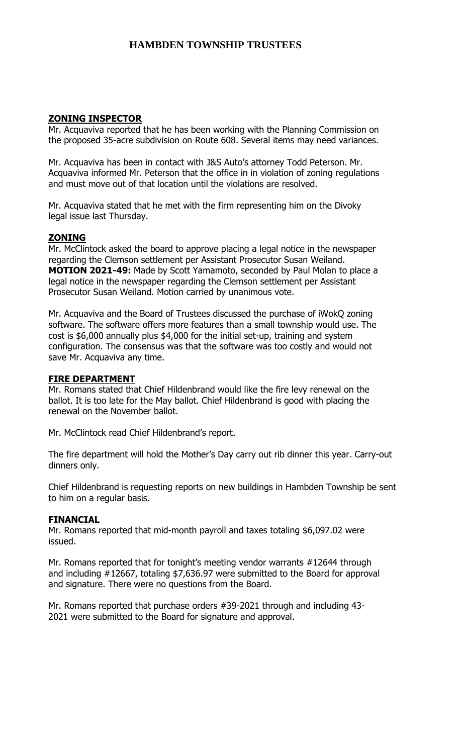#### **ZONING INSPECTOR**

Mr. Acquaviva reported that he has been working with the Planning Commission on the proposed 35-acre subdivision on Route 608. Several items may need variances.

Mr. Acquaviva has been in contact with J&S Auto's attorney Todd Peterson. Mr. Acquaviva informed Mr. Peterson that the office in in violation of zoning regulations and must move out of that location until the violations are resolved.

Mr. Acquaviva stated that he met with the firm representing him on the Divoky legal issue last Thursday.

#### **ZONING**

Mr. McClintock asked the board to approve placing a legal notice in the newspaper regarding the Clemson settlement per Assistant Prosecutor Susan Weiland. **MOTION 2021-49:** Made by Scott Yamamoto, seconded by Paul Molan to place a legal notice in the newspaper regarding the Clemson settlement per Assistant Prosecutor Susan Weiland. Motion carried by unanimous vote.

Mr. Acquaviva and the Board of Trustees discussed the purchase of iWokQ zoning software. The software offers more features than a small township would use. The cost is \$6,000 annually plus \$4,000 for the initial set-up, training and system configuration. The consensus was that the software was too costly and would not save Mr. Acquaviva any time.

#### **FIRE DEPARTMENT**

Mr. Romans stated that Chief Hildenbrand would like the fire levy renewal on the ballot. It is too late for the May ballot. Chief Hildenbrand is good with placing the renewal on the November ballot.

Mr. McClintock read Chief Hildenbrand's report.

The fire department will hold the Mother's Day carry out rib dinner this year. Carry-out dinners only.

Chief Hildenbrand is requesting reports on new buildings in Hambden Township be sent to him on a regular basis.

# **FINANCIAL**

Mr. Romans reported that mid-month payroll and taxes totaling \$6,097.02 were issued.

Mr. Romans reported that for tonight's meeting vendor warrants #12644 through and including #12667, totaling \$7,636.97 were submitted to the Board for approval and signature. There were no questions from the Board.

Mr. Romans reported that purchase orders #39-2021 through and including 43- 2021 were submitted to the Board for signature and approval.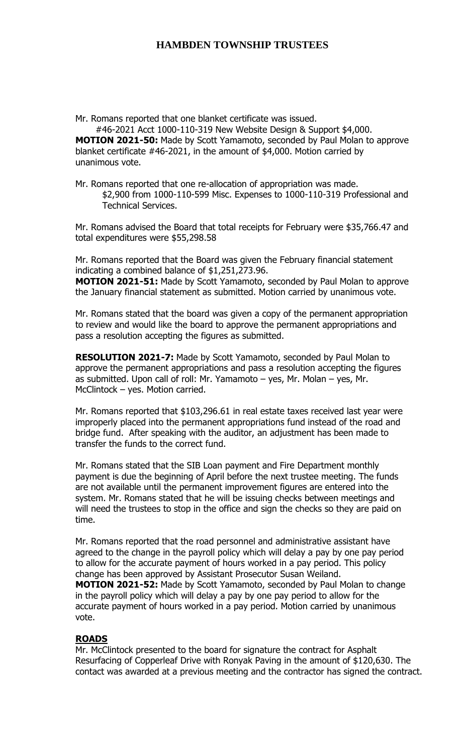Mr. Romans reported that one blanket certificate was issued.

#46-2021 Acct 1000-110-319 New Website Design & Support \$4,000. **MOTION 2021-50:** Made by Scott Yamamoto, seconded by Paul Molan to approve blanket certificate #46-2021, in the amount of \$4,000. Motion carried by unanimous vote.

Mr. Romans reported that one re-allocation of appropriation was made. \$2,900 from 1000-110-599 Misc. Expenses to 1000-110-319 Professional and Technical Services.

Mr. Romans advised the Board that total receipts for February were \$35,766.47 and total expenditures were \$55,298.58

Mr. Romans reported that the Board was given the February financial statement indicating a combined balance of \$1,251,273.96.

**MOTION 2021-51:** Made by Scott Yamamoto, seconded by Paul Molan to approve the January financial statement as submitted. Motion carried by unanimous vote.

Mr. Romans stated that the board was given a copy of the permanent appropriation to review and would like the board to approve the permanent appropriations and pass a resolution accepting the figures as submitted.

**RESOLUTION 2021-7:** Made by Scott Yamamoto, seconded by Paul Molan to approve the permanent appropriations and pass a resolution accepting the figures as submitted. Upon call of roll: Mr. Yamamoto – yes, Mr. Molan – yes, Mr. McClintock – yes. Motion carried.

Mr. Romans reported that \$103,296.61 in real estate taxes received last year were improperly placed into the permanent appropriations fund instead of the road and bridge fund. After speaking with the auditor, an adjustment has been made to transfer the funds to the correct fund.

Mr. Romans stated that the SIB Loan payment and Fire Department monthly payment is due the beginning of April before the next trustee meeting. The funds are not available until the permanent improvement figures are entered into the system. Mr. Romans stated that he will be issuing checks between meetings and will need the trustees to stop in the office and sign the checks so they are paid on time.

Mr. Romans reported that the road personnel and administrative assistant have agreed to the change in the payroll policy which will delay a pay by one pay period to allow for the accurate payment of hours worked in a pay period. This policy change has been approved by Assistant Prosecutor Susan Weiland. **MOTION 2021-52:** Made by Scott Yamamoto, seconded by Paul Molan to change in the payroll policy which will delay a pay by one pay period to allow for the accurate payment of hours worked in a pay period. Motion carried by unanimous vote.

# **ROADS**

Mr. McClintock presented to the board for signature the contract for Asphalt Resurfacing of Copperleaf Drive with Ronyak Paving in the amount of \$120,630. The contact was awarded at a previous meeting and the contractor has signed the contract.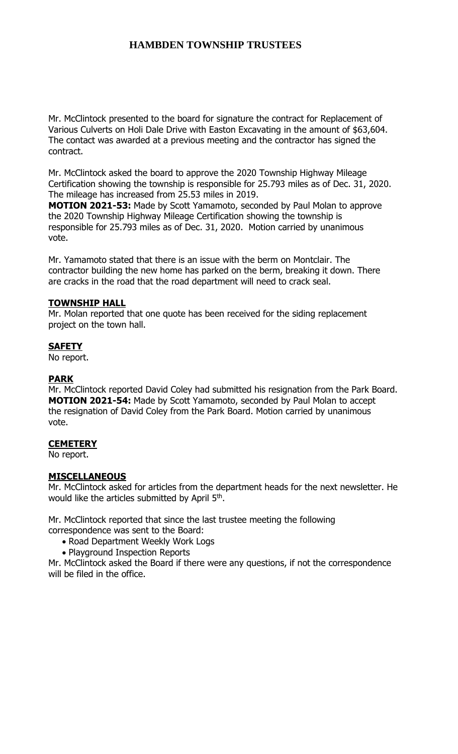Mr. McClintock presented to the board for signature the contract for Replacement of Various Culverts on Holi Dale Drive with Easton Excavating in the amount of \$63,604. The contact was awarded at a previous meeting and the contractor has signed the contract.

Mr. McClintock asked the board to approve the 2020 Township Highway Mileage Certification showing the township is responsible for 25.793 miles as of Dec. 31, 2020. The mileage has increased from 25.53 miles in 2019.

**MOTION 2021-53:** Made by Scott Yamamoto, seconded by Paul Molan to approve the 2020 Township Highway Mileage Certification showing the township is responsible for 25.793 miles as of Dec. 31, 2020. Motion carried by unanimous vote.

Mr. Yamamoto stated that there is an issue with the berm on Montclair. The contractor building the new home has parked on the berm, breaking it down. There are cracks in the road that the road department will need to crack seal.

# **TOWNSHIP HALL**

Mr. Molan reported that one quote has been received for the siding replacement project on the town hall.

# **SAFETY**

No report.

# **PARK**

Mr. McClintock reported David Coley had submitted his resignation from the Park Board. **MOTION 2021-54:** Made by Scott Yamamoto, seconded by Paul Molan to accept the resignation of David Coley from the Park Board. Motion carried by unanimous vote.

# **CEMETERY**

No report.

# **MISCELLANEOUS**

Mr. McClintock asked for articles from the department heads for the next newsletter. He would like the articles submitted by April 5<sup>th</sup>.

Mr. McClintock reported that since the last trustee meeting the following correspondence was sent to the Board:

- Road Department Weekly Work Logs
- Playground Inspection Reports

Mr. McClintock asked the Board if there were any questions, if not the correspondence will be filed in the office.